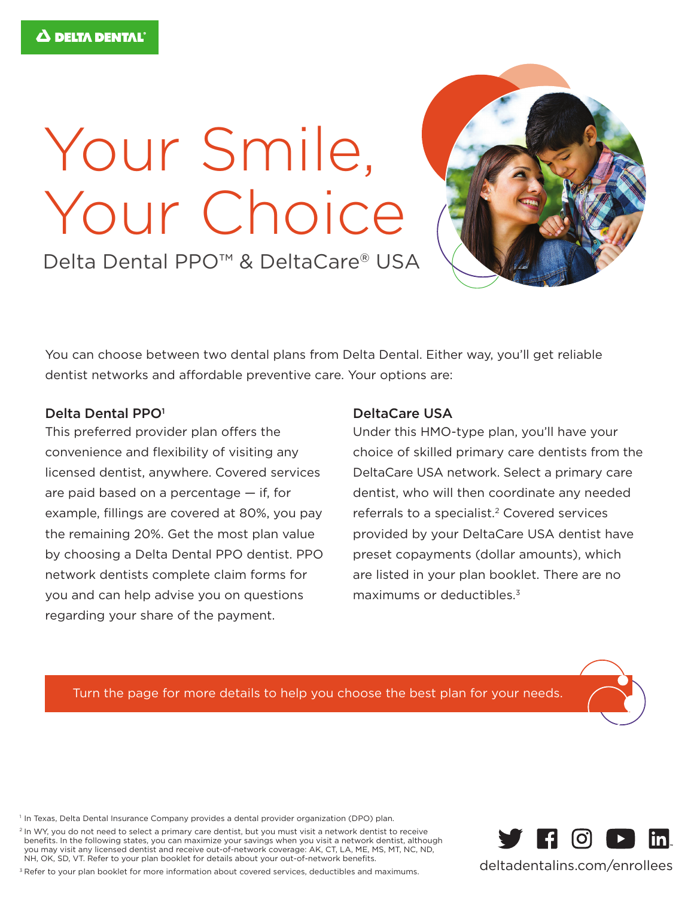## Your Smile, Your Choice

Delta Dental PPO<sup>™</sup> & DeltaCare® USA

You can choose between two dental plans from Delta Dental. Either way, you'll get reliable dentist networks and affordable preventive care. Your options are:

## Delta Dental PPO<sup>1</sup>

This preferred provider plan offers the convenience and flexibility of visiting any licensed dentist, anywhere. Covered services are paid based on a percentage — if, for example, fillings are covered at 80%, you pay the remaining 20%. Get the most plan value by choosing a Delta Dental PPO dentist. PPO network dentists complete claim forms for you and can help advise you on questions regarding your share of the payment.

## DeltaCare USA

Under this HMO-type plan, you'll have your choice of skilled primary care dentists from the DeltaCare USA network. Select a primary care dentist, who will then coordinate any needed referrals to a specialist.<sup>2</sup> Covered services provided by your DeltaCare USA dentist have preset copayments (dollar amounts), which are listed in your plan booklet. There are no maximums or deductibles.<sup>3</sup>

Turn the page for more details to help you choose the best plan for your needs.

<sup>1</sup> In Texas, Delta Dental Insurance Company provides a dental provider organization (DPO) plan.

<sup>2</sup> In WY, you do not need to select a primary care dentist, but you must visit a network dentist to receive benefits. In the following states, you can maximize your savings when you visit a network dentist, although you may visit any licensed dentist and receive out-of-network coverage: AK, CT, LA, ME, MS, MT, NC, ND, NH, OK, SD, VT. Refer to your plan booklet for details about your out-of-network benefits.

<sup>3</sup> Refer to your plan booklet for more information about covered services, deductibles and maximums.





deltadentalins.com/enrollees